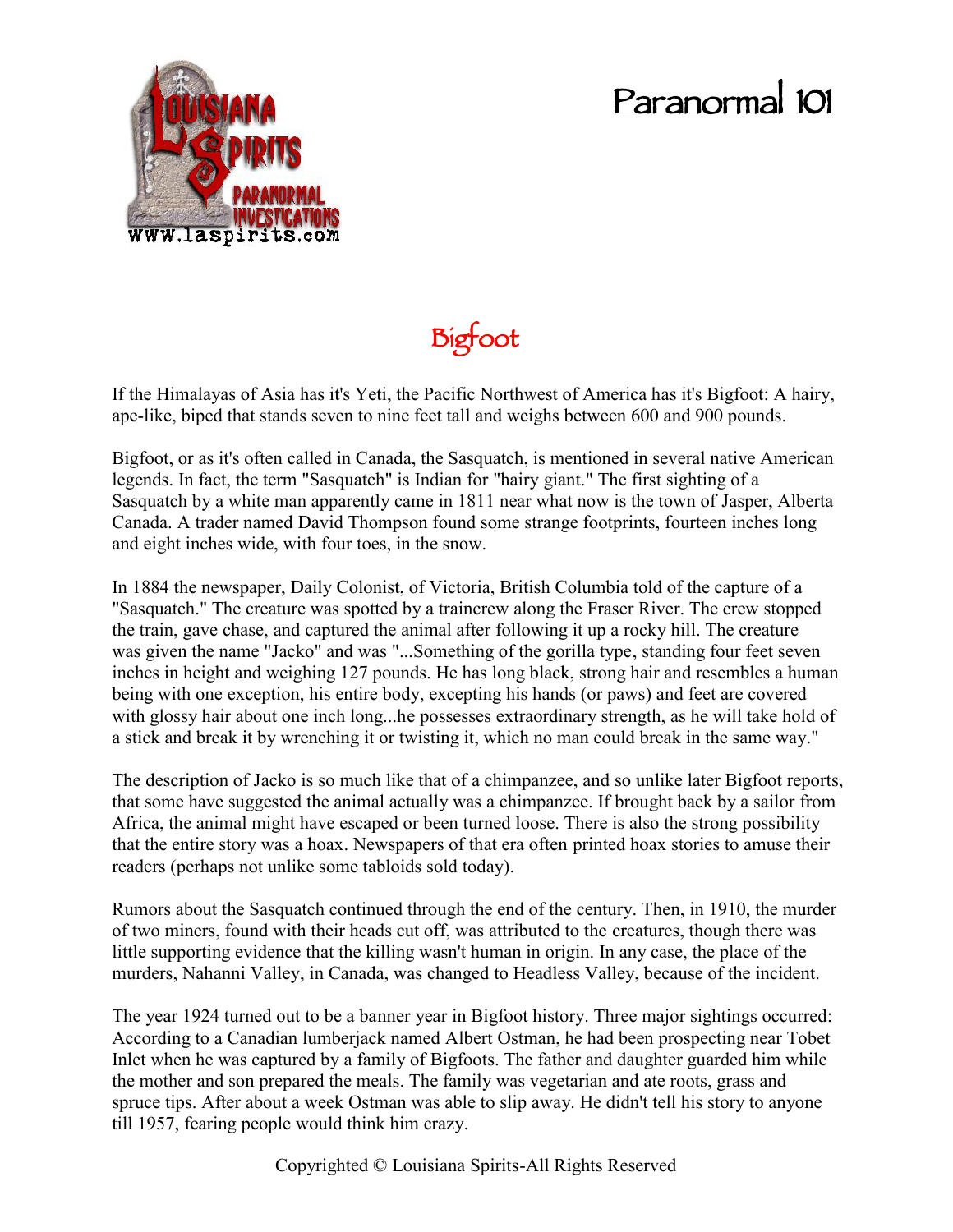## **Paranormal 101**



**Bigfoot**

If the Himalayas of Asia has it's Yeti, the Pacific Northwest of America has it's Bigfoot: A hairy, ape-like, biped that stands seven to nine feet tall and weighs between 600 and 900 pounds.

Bigfoot, or as it's often called in Canada, the Sasquatch, is mentioned in several native American legends. In fact, the term "Sasquatch" is Indian for "hairy giant." The first sighting of a Sasquatch by a white man apparently came in 1811 near what now is the town of Jasper, Alberta Canada. A trader named David Thompson found some strange footprints, fourteen inches long and eight inches wide, with four toes, in the snow.

In 1884 the newspaper, Daily Colonist, of Victoria, British Columbia told of the capture of a "Sasquatch." The creature was spotted by a traincrew along the Fraser River. The crew stopped the train, gave chase, and captured the animal after following it up a rocky hill. The creature was given the name "Jacko" and was "...Something of the gorilla type, standing four feet seven inches in height and weighing 127 pounds. He has long black, strong hair and resembles a human being with one exception, his entire body, excepting his hands (or paws) and feet are covered with glossy hair about one inch long...he possesses extraordinary strength, as he will take hold of a stick and break it by wrenching it or twisting it, which no man could break in the same way."

The description of Jacko is so much like that of a chimpanzee, and so unlike later Bigfoot reports, that some have suggested the animal actually was a chimpanzee. If brought back by a sailor from Africa, the animal might have escaped or been turned loose. There is also the strong possibility that the entire story was a hoax. Newspapers of that era often printed hoax stories to amuse their readers (perhaps not unlike some tabloids sold today).

Rumors about the Sasquatch continued through the end of the century. Then, in 1910, the murder of two miners, found with their heads cut off, was attributed to the creatures, though there was little supporting evidence that the killing wasn't human in origin. In any case, the place of the murders, Nahanni Valley, in Canada, was changed to Headless Valley, because of the incident.

The year 1924 turned out to be a banner year in Bigfoot history. Three major sightings occurred: According to a Canadian lumberjack named Albert Ostman, he had been prospecting near Tobet Inlet when he was captured by a family of Bigfoots. The father and daughter guarded him while the mother and son prepared the meals. The family was vegetarian and ate roots, grass and spruce tips. After about a week Ostman was able to slip away. He didn't tell his story to anyone till 1957, fearing people would think him crazy.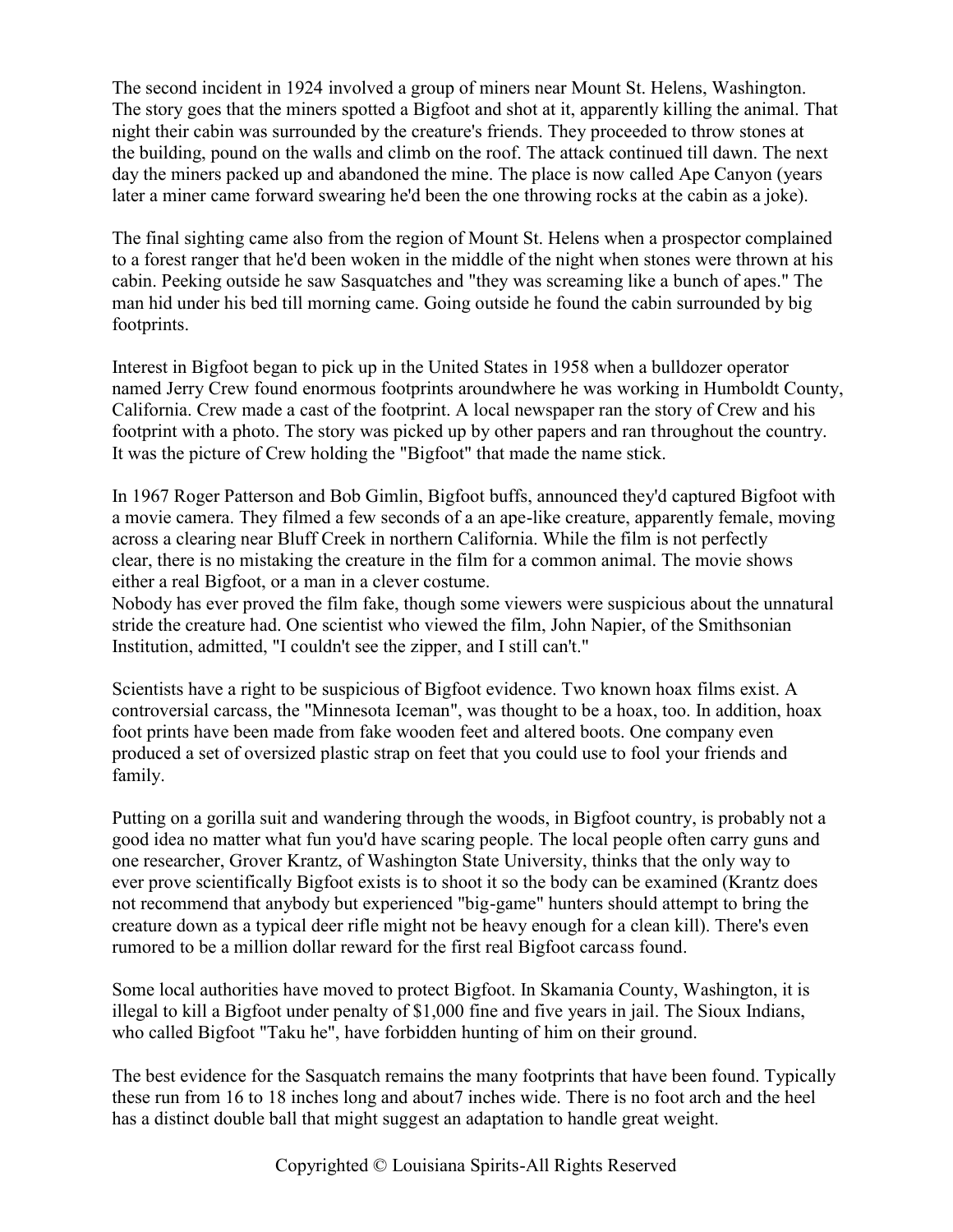The second incident in 1924 involved a group of miners near Mount St. Helens, Washington. The story goes that the miners spotted a Bigfoot and shot at it, apparently killing the animal. That night their cabin was surrounded by the creature's friends. They proceeded to throw stones at the building, pound on the walls and climb on the roof. The attack continued till dawn. The next day the miners packed up and abandoned the mine. The place is now called Ape Canyon (years later a miner came forward swearing he'd been the one throwing rocks at the cabin as a joke).

The final sighting came also from the region of Mount St. Helens when a prospector complained to a forest ranger that he'd been woken in the middle of the night when stones were thrown at his cabin. Peeking outside he saw Sasquatches and "they was screaming like a bunch of apes." The man hid under his bed till morning came. Going outside he found the cabin surrounded by big footprints.

Interest in Bigfoot began to pick up in the United States in 1958 when a bulldozer operator named Jerry Crew found enormous footprints aroundwhere he was working in Humboldt County, California. Crew made a cast of the footprint. A local newspaper ran the story of Crew and his footprint with a photo. The story was picked up by other papers and ran throughout the country. It was the picture of Crew holding the "Bigfoot" that made the name stick.

In 1967 Roger Patterson and Bob Gimlin, Bigfoot buffs, announced they'd captured Bigfoot with a movie camera. They filmed a few seconds of a an ape-like creature, apparently female, moving across a clearing near Bluff Creek in northern California. While the film is not perfectly clear, there is no mistaking the creature in the film for a common animal. The movie shows either a real Bigfoot, or a man in a clever costume.

Nobody has ever proved the film fake, though some viewers were suspicious about the unnatural stride the creature had. One scientist who viewed the film, John Napier, of the Smithsonian Institution, admitted, "I couldn't see the zipper, and I still can't."

Scientists have a right to be suspicious of Bigfoot evidence. Two known hoax films exist. A controversial carcass, the "Minnesota Iceman", was thought to be a hoax, too. In addition, hoax foot prints have been made from fake wooden feet and altered boots. One company even produced a set of oversized plastic strap on feet that you could use to fool your friends and family.

Putting on a gorilla suit and wandering through the woods, in Bigfoot country, is probably not a good idea no matter what fun you'd have scaring people. The local people often carry guns and one researcher, Grover Krantz, of Washington State University, thinks that the only way to ever prove scientifically Bigfoot exists is to shoot it so the body can be examined (Krantz does not recommend that anybody but experienced "big-game" hunters should attempt to bring the creature down as a typical deer rifle might not be heavy enough for a clean kill). There's even rumored to be a million dollar reward for the first real Bigfoot carcass found.

Some local authorities have moved to protect Bigfoot. In Skamania County, Washington, it is illegal to kill a Bigfoot under penalty of \$1,000 fine and five years in jail. The Sioux Indians, who called Bigfoot "Taku he", have forbidden hunting of him on their ground.

The best evidence for the Sasquatch remains the many footprints that have been found. Typically these run from 16 to 18 inches long and about7 inches wide. There is no foot arch and the heel has a distinct double ball that might suggest an adaptation to handle great weight.